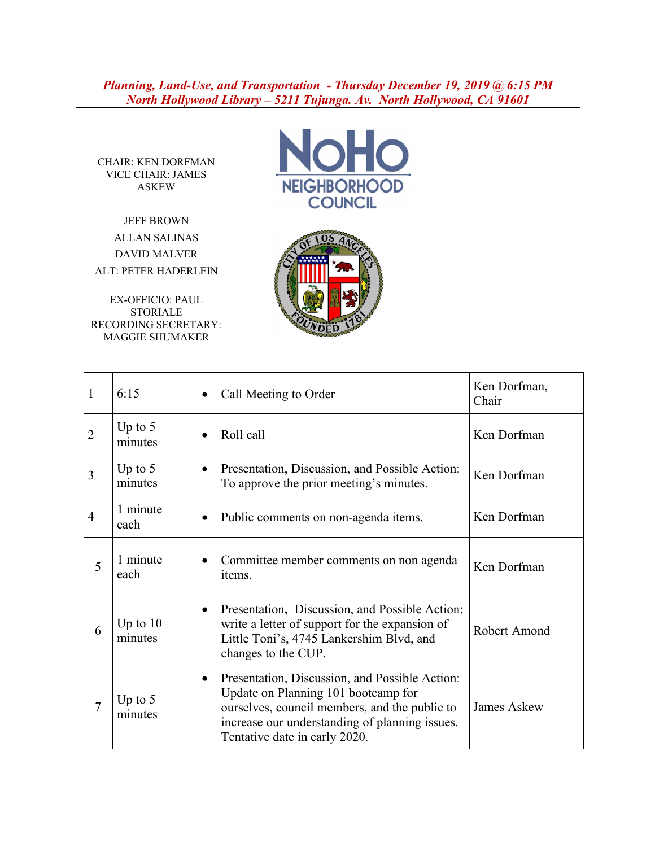*Planning, Land-Use, and Transportation - Thursday December 19, 2019 @ 6:15 PM North Hollywood Library – 5211 Tujunga. Av. North Hollywood, CA 91601*

CHAIR: KEN DORFMAN VICE CHAIR: JAMES ASKEW

JEFF BROWN ALLAN SALINAS DAVID MALVER ALT: PETER HADERLEIN

EX-OFFICIO: PAUL STORIALE RECORDING SECRETARY: MAGGIE SHUMAKER





| 1              | 6:15                  | Call Meeting to Order                                                                                                                                                                                                                  | Ken Dorfman,<br>Chair |
|----------------|-----------------------|----------------------------------------------------------------------------------------------------------------------------------------------------------------------------------------------------------------------------------------|-----------------------|
| $\overline{2}$ | Up to $5$<br>minutes  | Roll call                                                                                                                                                                                                                              | Ken Dorfman           |
| 3              | Up to $5$<br>minutes  | Presentation, Discussion, and Possible Action:<br>To approve the prior meeting's minutes.                                                                                                                                              | Ken Dorfman           |
| 4              | 1 minute<br>each      | Public comments on non-agenda items.                                                                                                                                                                                                   | Ken Dorfman           |
| 5              | 1 minute<br>each      | Committee member comments on non agenda<br>items.                                                                                                                                                                                      | Ken Dorfman           |
| 6              | Up to $10$<br>minutes | Presentation, Discussion, and Possible Action:<br>$\bullet$<br>write a letter of support for the expansion of<br>Little Toni's, 4745 Lankershim Blvd, and<br>changes to the CUP.                                                       | Robert Amond          |
| 7              | Up to $5$<br>minutes  | Presentation, Discussion, and Possible Action:<br>$\bullet$<br>Update on Planning 101 bootcamp for<br>ourselves, council members, and the public to<br>increase our understanding of planning issues.<br>Tentative date in early 2020. | James Askew           |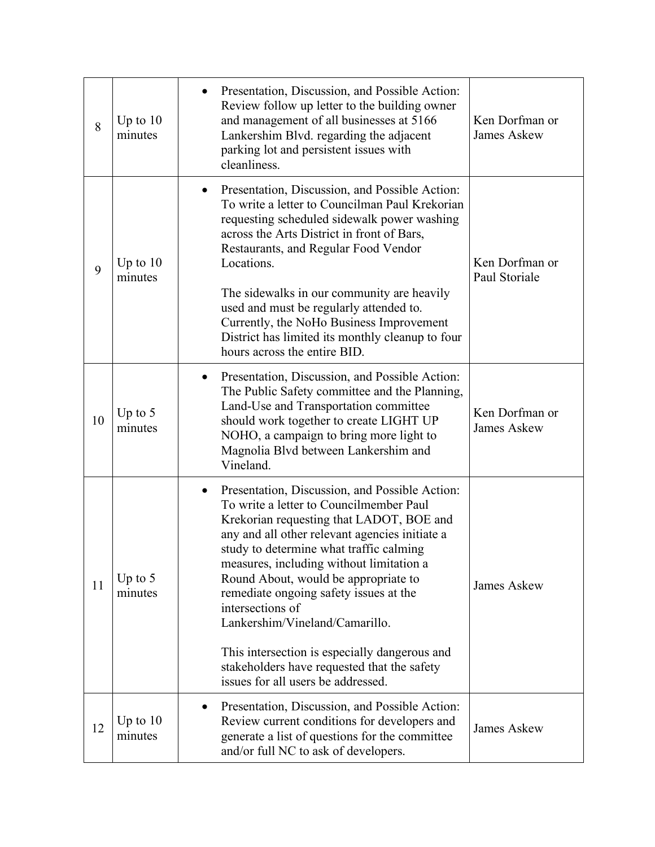| 8  | Up to $10$<br>minutes | Presentation, Discussion, and Possible Action:<br>Review follow up letter to the building owner<br>and management of all businesses at 5166<br>Lankershim Blvd. regarding the adjacent<br>parking lot and persistent issues with<br>cleanliness.                                                                                                                                                                                                                                                                                                             | Ken Dorfman or<br><b>James Askew</b> |
|----|-----------------------|--------------------------------------------------------------------------------------------------------------------------------------------------------------------------------------------------------------------------------------------------------------------------------------------------------------------------------------------------------------------------------------------------------------------------------------------------------------------------------------------------------------------------------------------------------------|--------------------------------------|
| 9  | Up to $10$<br>minutes | Presentation, Discussion, and Possible Action:<br>$\bullet$<br>To write a letter to Councilman Paul Krekorian<br>requesting scheduled sidewalk power washing<br>across the Arts District in front of Bars,<br>Restaurants, and Regular Food Vendor<br>Locations.<br>The sidewalks in our community are heavily<br>used and must be regularly attended to.<br>Currently, the NoHo Business Improvement<br>District has limited its monthly cleanup to four<br>hours across the entire BID.                                                                    | Ken Dorfman or<br>Paul Storiale      |
| 10 | Up to $5$<br>minutes  | Presentation, Discussion, and Possible Action:<br>$\bullet$<br>The Public Safety committee and the Planning,<br>Land-Use and Transportation committee<br>should work together to create LIGHT UP<br>NOHO, a campaign to bring more light to<br>Magnolia Blvd between Lankershim and<br>Vineland.                                                                                                                                                                                                                                                             | Ken Dorfman or<br><b>James Askew</b> |
| 11 | Up to $5$<br>minutes  | Presentation, Discussion, and Possible Action:<br>To write a letter to Councilmember Paul<br>Krekorian requesting that LADOT, BOE and<br>any and all other relevant agencies initiate a<br>study to determine what traffic calming<br>measures, including without limitation a<br>Round About, would be appropriate to<br>remediate ongoing safety issues at the<br>intersections of<br>Lankershim/Vineland/Camarillo.<br>This intersection is especially dangerous and<br>stakeholders have requested that the safety<br>issues for all users be addressed. | <b>James Askew</b>                   |
| 12 | Up to $10$<br>minutes | Presentation, Discussion, and Possible Action:<br>Review current conditions for developers and<br>generate a list of questions for the committee<br>and/or full NC to ask of developers.                                                                                                                                                                                                                                                                                                                                                                     | <b>James Askew</b>                   |